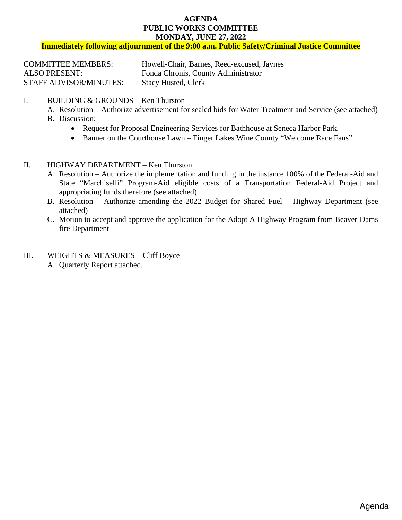#### **AGENDA PUBLIC WORKS COMMITTEE MONDAY, JUNE 27, 2022**

**Immediately following adjournment of the 9:00 a.m. Public Safety/Criminal Justice Committee**

| <b>COMMITTEE MEMBERS:</b>     | Howell-Chair, Barnes, Reed-excused, Jaynes |
|-------------------------------|--------------------------------------------|
| <b>ALSO PRESENT:</b>          | Fonda Chronis, County Administrator        |
| <b>STAFF ADVISOR/MINUTES:</b> | <b>Stacy Husted, Clerk</b>                 |

## I. BUILDING & GROUNDS – Ken Thurston

- A. Resolution [Authorize advertisement for sealed bids for Water Treatment and Service \(see attached\)](#page-1-0)
- B. Discussion:
	- Request for Proposal Engineering Services for Bathhouse at Seneca Harbor Park.
	- Banner on the Courthouse Lawn Finger Lakes Wine County "Welcome Race Fans"
- II. HIGHWAY DEPARTMENT Ken Thurston
	- A. Resolution Authorize the implementation [and funding in the instance 100% of the Federal-Aid and](#page-2-0)  State "Marchiselli" Program-Aid eligible costs of a Transportation Federal-Aid Project and appropriating funds therefore (see attached)
	- B. Resolution [Authorize amending the 2022 Budget for Shared Fuel –](#page-3-0) Highway Department (see attached)
	- C. Motion to accept and approve the application for the Adopt A Highway Program from Beaver Dams [fire Department](#page-4-0)
- III. WEIGHTS & MEASURES Cliff Boyce
	- A. Quarterly Report attached.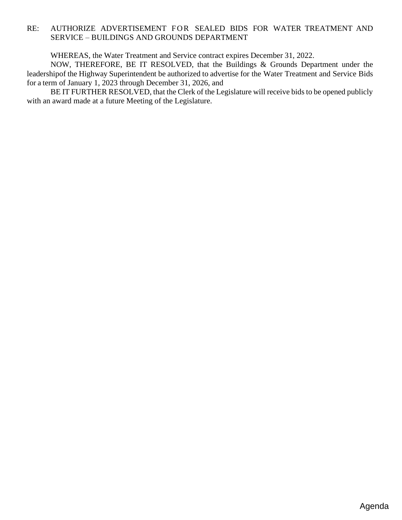## <span id="page-1-0"></span>RE: AUTHORIZE ADVERTISEMENT FOR SEALED BIDS FOR WATER TREATMENT AND SERVICE – BUILDINGS AND GROUNDS DEPARTMENT

WHEREAS, the Water Treatment and Service contract expires December 31, 2022.

NOW, THEREFORE, BE IT RESOLVED, that the Buildings & Grounds Department under the leadershipof the Highway Superintendent be authorized to advertise for the Water Treatment and Service Bids for a term of January 1, 2023 through December 31, 2026, and

BE IT FURTHER RESOLVED, that the Clerk of the Legislature will receive bids to be opened publicly with an award made at a future Meeting of the Legislature.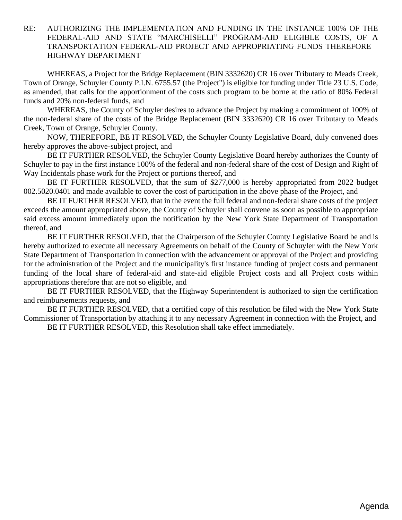# <span id="page-2-0"></span>RE: AUTHORIZING THE IMPLEMENTATION AND FUNDING IN THE INSTANCE 100% OF THE FEDERAL-AID AND STATE "MARCHISELLI" PROGRAM-AID ELIGIBLE COSTS, OF A TRANSPORTATION FEDERAL-AID PROJECT AND APPROPRIATING FUNDS THEREFORE – HIGHWAY DEPARTMENT

WHEREAS, a Project for the Bridge Replacement (BIN 3332620) CR 16 over Tributary to Meads Creek, Town of Orange, Schuyler County P.I.N. 6755.57 (the Project") is eligible for funding under Title 23 U.S. Code, as amended, that calls for the apportionment of the costs such program to be borne at the ratio of 80% Federal funds and 20% non-federal funds, and

WHEREAS, the County of Schuyler desires to advance the Project by making a commitment of 100% of the non-federal share of the costs of the Bridge Replacement (BIN 3332620) CR 16 over Tributary to Meads Creek, Town of Orange, Schuyler County.

NOW, THEREFORE, BE IT RESOLVED, the Schuyler County Legislative Board, duly convened does hereby approves the above-subject project, and

BE IT FURTHER RESOLVED, the Schuyler County Legislative Board hereby authorizes the County of Schuyler to pay in the first instance 100% of the federal and non-federal share of the cost of Design and Right of Way Incidentals phase work for the Project or portions thereof, and

BE IT FURTHER RESOLVED, that the sum of \$277,000 is hereby appropriated from 2022 budget 002.5020.0401 and made available to cover the cost of participation in the above phase of the Project, and

BE IT FURTHER RESOLVED, that in the event the full federal and non-federal share costs of the project exceeds the amount appropriated above, the County of Schuyler shall convene as soon as possible to appropriate said excess amount immediately upon the notification by the New York State Department of Transportation thereof, and

BE IT FURTHER RESOLVED, that the Chairperson of the Schuyler County Legislative Board be and is hereby authorized to execute all necessary Agreements on behalf of the County of Schuyler with the New York State Department of Transportation in connection with the advancement or approval of the Project and providing for the administration of the Project and the municipality's first instance funding of project costs and permanent funding of the local share of federal-aid and state-aid eligible Project costs and all Project costs within appropriations therefore that are not so eligible, and

BE IT FURTHER RESOLVED, that the Highway Superintendent is authorized to sign the certification and reimbursements requests, and

BE IT FURTHER RESOLVED, that a certified copy of this resolution be filed with the New York State Commissioner of Transportation by attaching it to any necessary Agreement in connection with the Project, and BE IT FURTHER RESOLVED, this Resolution shall take effect immediately.

Agenda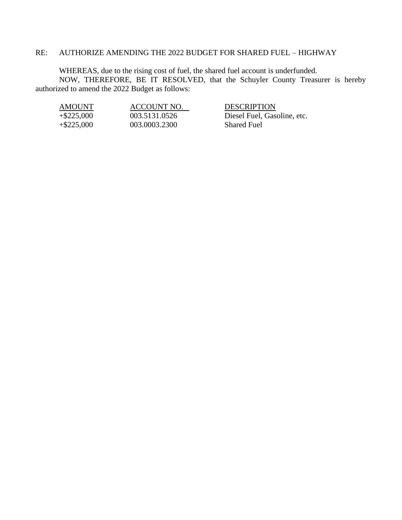#### <span id="page-3-0"></span>RE: AUTHORIZE AMENDING THE 2022 BUDGET FOR SHARED FUEL – HIGHWAY

WHEREAS, due to the rising cost of fuel, the shared fuel account is underfunded. NOW, THEREFORE, BE IT RESOLVED, that the Schuyler County Treasurer is hereby authorized to amend the 2022 Budget as follows:

| AMOUNT        | ACCOUNT NO.   | <b>DESCRIPTION</b>          |
|---------------|---------------|-----------------------------|
| $+$ \$225,000 | 003.5131.0526 | Diesel Fuel, Gasoline, etc. |
| $+$ \$225,000 | 003.0003.2300 | <b>Shared Fuel</b>          |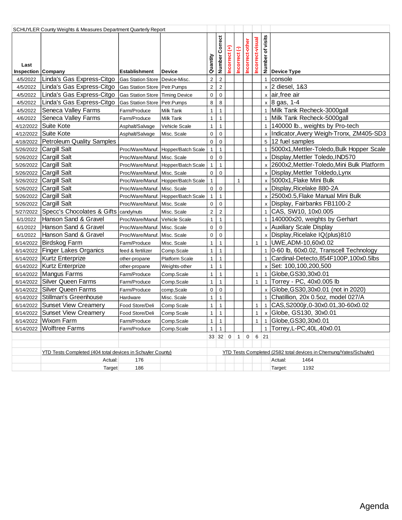<span id="page-4-0"></span>

| SCHUYLER County Weights & Measures Department Quarterly Report |                                                               |                                 |                                     |                         |                         |               |                       |                 |                  |                    |                                                                    |
|----------------------------------------------------------------|---------------------------------------------------------------|---------------------------------|-------------------------------------|-------------------------|-------------------------|---------------|-----------------------|-----------------|------------------|--------------------|--------------------------------------------------------------------|
| Last<br>Inspection Company                                     |                                                               | <b>Establishment</b>            | <b>Device</b>                       | Quantity                | Number Correct          | Incorrect (+) | จ<br><b>Incorrect</b> | Incorrect-other | Incorrect-visual |                    | is its<br>berical<br>Device Type                                   |
| 4/5/2022                                                       | Linda's Gas Express-Citgo                                     | Gas Station Store Device-Misc.  |                                     | $\overline{\mathbf{c}}$ | $\overline{c}$          |               |                       |                 |                  | $\mathbf{1}$       | console                                                            |
| 4/5/2022                                                       | Linda's Gas Express-Citgo Gas Station Store   Petr. Pumps     |                                 |                                     | $\overline{c}$          | $\overline{2}$          |               |                       |                 |                  |                    | $x$ 2 diesel, 1&3                                                  |
| 4/5/2022                                                       | Linda's Gas Express-Citgo   Gas Station Store   Timing Device |                                 |                                     | $\pmb{0}$               | $\mathbf 0$             |               |                       |                 |                  |                    | x air, free air                                                    |
| 4/5/2022                                                       | Linda's Gas Express-Citgo                                     | Gas Station Store   Petr. Pumps |                                     | 8                       | 8                       |               |                       |                 |                  |                    | $x$ 8 gas, 1-4                                                     |
| 4/5/2022                                                       | Seneca Valley Farms                                           | Farm/Produce                    | Milk Tank                           | $\mathbf{1}$            | $\mathbf{1}$            |               |                       |                 |                  |                    | 1 Milk Tank Recheck-3000gall                                       |
| 4/6/2022                                                       | Seneca Valley Farms                                           | Farm/Produce                    | Milk Tank                           | 1                       | $\mathbf{1}$            |               |                       |                 |                  |                    | 1 Milk Tank Recheck-5000gall                                       |
| 4/12/2022                                                      | Suite Kote                                                    | Asphalt/Salvage                 | <b>Vehicle Scale</b>                | 1                       | $\mathbf{1}$            |               |                       |                 |                  |                    | 1 140000 lb., weights by Pro-tech                                  |
| 4/12/2022                                                      | Suite Kote                                                    | Asphalt/Salvage                 | Misc. Scale                         | $\pmb{0}$               | $\mathbf 0$             |               |                       |                 |                  |                    | x   Indicator, Avery Weigh-Tronx, ZM405-SD3                        |
| 4/18/2022                                                      | Petroleum Quality Samples                                     |                                 |                                     | $\mathbf 0$             | $\mathbf 0$             |               |                       |                 |                  |                    | 5 12 fuel samples                                                  |
| 5/26/2022                                                      | Cargill Salt                                                  |                                 | Proc/Ware/Manuf. Hopper/Batch Scale | $\mathbf{1}$            | $\mathbf{1}$            |               |                       |                 |                  |                    | 1 5000x1, Mettler-Toledo, Bulk Hopper Scale                        |
| 5/26/2022                                                      | Cargill Salt                                                  | Proc/Ware/Manuf. Misc. Scale    |                                     | $\mathbf 0$             | $\mathbf 0$             |               |                       |                 |                  |                    | x Display, Mettler Toledo, IND570                                  |
| 5/26/2022                                                      | Cargill Salt                                                  |                                 | Proc/Ware/Manuf. Hopper/Batch Scale | $\mathbf{1}$            | $\mathbf{1}$            |               |                       |                 |                  |                    | x 2600x2, Mettler-Toledo, Mini Bulk Platform                       |
| 5/26/2022                                                      | Cargill Salt                                                  | Proc/Ware/Manuf. Misc. Scale    |                                     | $\mathbf 0$             | $\mathbf 0$             |               |                       |                 |                  |                    | x Display, Mettler Toldedo, Lynx                                   |
| 5/26/2022                                                      | Cargill Salt                                                  |                                 | Proc/Ware/Manuf. Hopper/Batch Scale | $\mathbf{1}$            |                         |               | $\mathbf{1}$          |                 |                  |                    | x 5000x1, Flake Mini Bulk                                          |
| 5/26/2022                                                      | Cargill Salt                                                  | Proc/Ware/Manuf. Misc. Scale    |                                     | 0                       | $\boldsymbol{0}$        |               |                       |                 |                  |                    | x Display, Ricelake 880-2A                                         |
| 5/26/2022                                                      | Cargill Salt                                                  |                                 | Proc/Ware/Manuf. Hopper/Batch Scale | $\mathbf{1}$            | $\mathbf{1}$            |               |                       |                 |                  |                    | x 2500x0.5, Flake Manual Mini Bulk                                 |
| 5/26/2022                                                      | Cargill Salt                                                  | Proc/Ware/Manuf. Misc. Scale    |                                     | 0                       | $\mathbf 0$             |               |                       |                 |                  |                    | x Display, Fairbanks FB1100-2                                      |
| 5/27/2022                                                      | Specc's Chocolates & Gifts   candy/nuts                       |                                 | Misc. Scale                         | $\overline{\mathbf{c}}$ | $\overline{\mathbf{c}}$ |               |                       |                 |                  |                    | 1 CAS, SW10, 10x0.005                                              |
| 6/1/2022                                                       | Hanson Sand & Gravel                                          | Proc/Ware/Manuf. Vehicle Scale  |                                     | 1                       | $\mathbf{1}$            |               |                       |                 |                  | $\mathbf{1}$       | 140000x20, weights by Gerhart                                      |
| 6/1/2022                                                       | Hanson Sand & Gravel                                          | Proc/Ware/Manuf.                | Misc. Scale                         | 0                       | $\mathbf 0$             |               |                       |                 |                  |                    | x Auxiliary Scale Display                                          |
| 6/1/2022                                                       | Hanson Sand & Gravel                                          | Proc/Ware/Manuf.                | Misc. Scale                         | 0                       | $\mathbf 0$             |               |                       |                 |                  |                    | x Display, Ricelake IQ(plus)810                                    |
| 6/14/2022                                                      | Birdskog Farm                                                 | Farm/Produce                    | Misc. Scale                         | 1                       | $\mathbf{1}$            |               |                       |                 | $\mathbf{1}$     |                    | 1   UWE, ADM-10, 60x0.02                                           |
|                                                                | 6/14/2022   Finger Lakes Organics                             | feed & fertilizer               | Comp.Scale                          | 1                       | $\mathbf{1}$            |               |                       |                 |                  |                    | 1 0-60 lb, 60x0.02, Transcell Technology                           |
|                                                                | 6/14/2022   Kurtz Enterprize                                  | other-propane                   | <b>Platform Scale</b>               | $\mathbf{1}$            | $\mathbf{1}$            |               |                       |                 |                  | $\mathbf{1}$       | Cardinal-Detecto, 854F100P, 100x0.5lbs                             |
|                                                                | 6/14/2022   Kurtz Enterprize                                  | other-propane                   | Weights-other                       | $\mathbf{1}$            | $\mathbf{1}$            |               |                       |                 |                  | $\mathsf{x}$       | Set: 100,100,200,500                                               |
|                                                                | 6/14/2022 Mangus Farms                                        | Farm/Produce                    | Comp.Scale                          | $\mathbf{1}$            | $\mathbf{1}$            |               |                       |                 | $\mathbf{1}$     | $\mathbf{1}$       | Globe, GS30, 30x0.01                                               |
|                                                                | 6/14/2022 Silver Queen Farms                                  | Farm/Produce                    | Comp.Scale                          | $\mathbf{1}$            | $\mathbf{1}$            |               |                       |                 | $\mathbf{1}$     | $\mathbf{1}$       | Torrey - PC, 40x0.005 lb                                           |
| 6/14/2022                                                      | Silver Queen Farms                                            | Farm/Produce                    | comp,Scale                          | 0                       | $\mathbf 0$             |               |                       |                 |                  | $\mathsf{x}$       | Globe, GS30, 30x0.01 (not in 2020)                                 |
| 6/14/2022                                                      | Stillman's Greenhouse                                         | Hardware                        | Misc. Scale                         | $\mathbf{1}$            | $\mathbf{1}$            |               |                       |                 |                  | $\mathbf{1}$       | Chatillion, 20x 0.5oz, model 027/A                                 |
|                                                                | 6/14/2022 Sunset View Creamery                                | Food Store/Deli                 | Comp Scale                          | $\mathbf{1}$            | $\mathbf{1}$            |               |                       |                 | $\mathbf{1}$     | $\mathbf{1}$       | CAS, S2000jr, 0-30x0.01, 30-60x0.02                                |
|                                                                | 6/14/2022 Sunset View Creamery                                | Food Store/Deli                 | Comp Scale                          | $\mathbf{1}$            | $\mathbf{1}$            |               |                       |                 | $\mathbf{1}$     | $\pmb{\mathsf{x}}$ | Globe, GS130, 30x0.01                                              |
|                                                                | 6/14/2022 Wixom Farm                                          | Farm/Produce                    | Comp.Scale                          | 1 <sup>1</sup>          | $\mathbf{1}$            |               |                       |                 |                  |                    | 1   1 Globe, GS30, 30x0.01                                         |
| 6/14/2022                                                      | Wolftree Farms                                                | Farm/Produce                    | Comp.Scale                          | $\mathbf{1}$            | $\mathbf{1}$            |               |                       |                 |                  | $\mathbf{1}$       | Torrey, L-PC, 40L, 40x0.01                                         |
|                                                                |                                                               |                                 |                                     |                         | 33 32 0                 |               |                       | $1 \mid 0$      |                  | $6 \mid 21$        |                                                                    |
|                                                                |                                                               |                                 |                                     |                         |                         |               |                       |                 |                  |                    |                                                                    |
|                                                                | YTD Tests Completed (404 total devices in Schuyler County)    |                                 |                                     |                         |                         |               |                       |                 |                  |                    | YTD Tests Completed (2582 total devices in Chemung/Yates/Schuyler) |
|                                                                | Actual:                                                       | 176                             |                                     |                         |                         |               |                       |                 |                  |                    | Actual:<br>1464                                                    |
|                                                                | Target                                                        | 186                             |                                     |                         |                         |               |                       |                 |                  |                    | 1192<br>Target:                                                    |